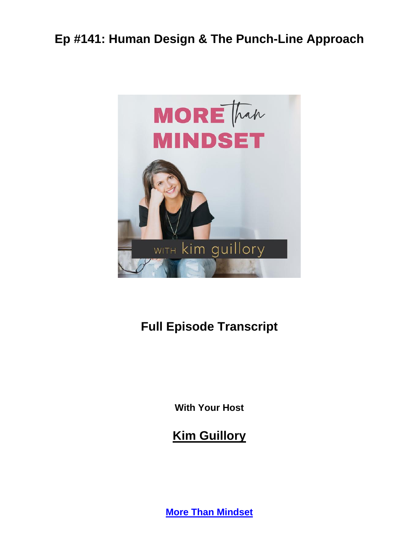

# **Full Episode Transcript**

**With Your Host**

**Kim Guillory**

**[More Than Mindset](https://kimguillory.com/podcast)**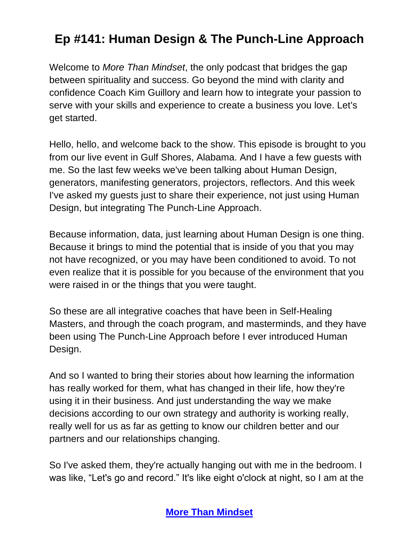Welcome to *More Than Mindset*, the only podcast that bridges the gap between spirituality and success. Go beyond the mind with clarity and confidence Coach Kim Guillory and learn how to integrate your passion to serve with your skills and experience to create a business you love. Let's get started.

Hello, hello, and welcome back to the show. This episode is brought to you from our live event in Gulf Shores, Alabama. And I have a few guests with me. So the last few weeks we've been talking about Human Design, generators, manifesting generators, projectors, reflectors. And this week I've asked my guests just to share their experience, not just using Human Design, but integrating The Punch-Line Approach.

Because information, data, just learning about Human Design is one thing. Because it brings to mind the potential that is inside of you that you may not have recognized, or you may have been conditioned to avoid. To not even realize that it is possible for you because of the environment that you were raised in or the things that you were taught.

So these are all integrative coaches that have been in Self-Healing Masters, and through the coach program, and masterminds, and they have been using The Punch-Line Approach before I ever introduced Human Design.

And so I wanted to bring their stories about how learning the information has really worked for them, what has changed in their life, how they're using it in their business. And just understanding the way we make decisions according to our own strategy and authority is working really, really well for us as far as getting to know our children better and our partners and our relationships changing.

So I've asked them, they're actually hanging out with me in the bedroom. I was like, "Let's go and record." It's like eight o'clock at night, so I am at the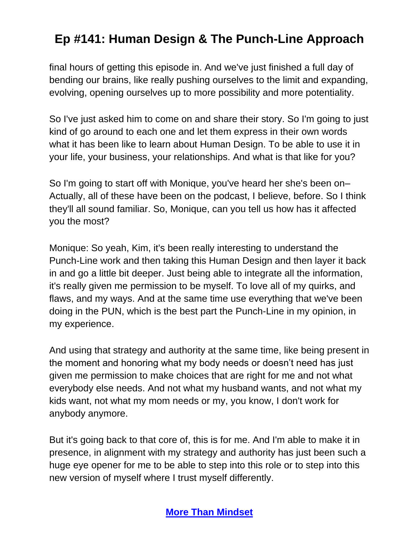final hours of getting this episode in. And we've just finished a full day of bending our brains, like really pushing ourselves to the limit and expanding, evolving, opening ourselves up to more possibility and more potentiality.

So I've just asked him to come on and share their story. So I'm going to just kind of go around to each one and let them express in their own words what it has been like to learn about Human Design. To be able to use it in your life, your business, your relationships. And what is that like for you?

So I'm going to start off with Monique, you've heard her she's been on– Actually, all of these have been on the podcast, I believe, before. So I think they'll all sound familiar. So, Monique, can you tell us how has it affected you the most?

Monique: So yeah, Kim, it's been really interesting to understand the Punch-Line work and then taking this Human Design and then layer it back in and go a little bit deeper. Just being able to integrate all the information, it's really given me permission to be myself. To love all of my quirks, and flaws, and my ways. And at the same time use everything that we've been doing in the PUN, which is the best part the Punch-Line in my opinion, in my experience.

And using that strategy and authority at the same time, like being present in the moment and honoring what my body needs or doesn't need has just given me permission to make choices that are right for me and not what everybody else needs. And not what my husband wants, and not what my kids want, not what my mom needs or my, you know, I don't work for anybody anymore.

But it's going back to that core of, this is for me. And I'm able to make it in presence, in alignment with my strategy and authority has just been such a huge eye opener for me to be able to step into this role or to step into this new version of myself where I trust myself differently.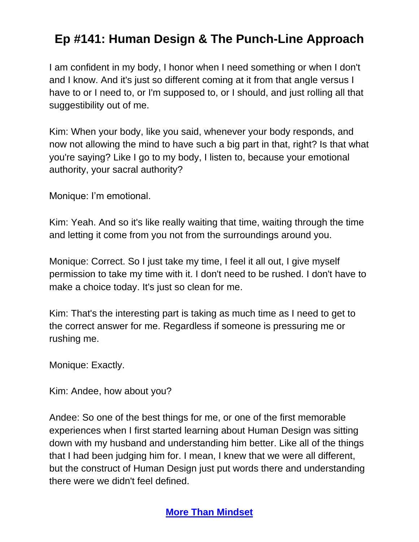I am confident in my body, I honor when I need something or when I don't and I know. And it's just so different coming at it from that angle versus I have to or I need to, or I'm supposed to, or I should, and just rolling all that suggestibility out of me.

Kim: When your body, like you said, whenever your body responds, and now not allowing the mind to have such a big part in that, right? Is that what you're saying? Like I go to my body, I listen to, because your emotional authority, your sacral authority?

Monique: I'm emotional.

Kim: Yeah. And so it's like really waiting that time, waiting through the time and letting it come from you not from the surroundings around you.

Monique: Correct. So I just take my time, I feel it all out, I give myself permission to take my time with it. I don't need to be rushed. I don't have to make a choice today. It's just so clean for me.

Kim: That's the interesting part is taking as much time as I need to get to the correct answer for me. Regardless if someone is pressuring me or rushing me.

Monique: Exactly.

Kim: Andee, how about you?

Andee: So one of the best things for me, or one of the first memorable experiences when I first started learning about Human Design was sitting down with my husband and understanding him better. Like all of the things that I had been judging him for. I mean, I knew that we were all different, but the construct of Human Design just put words there and understanding there were we didn't feel defined.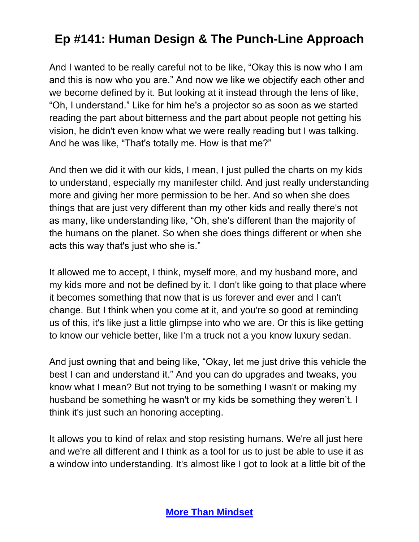And I wanted to be really careful not to be like, "Okay this is now who I am and this is now who you are." And now we like we objectify each other and we become defined by it. But looking at it instead through the lens of like, "Oh, I understand." Like for him he's a projector so as soon as we started reading the part about bitterness and the part about people not getting his vision, he didn't even know what we were really reading but I was talking. And he was like, "That's totally me. How is that me?"

And then we did it with our kids, I mean, I just pulled the charts on my kids to understand, especially my manifester child. And just really understanding more and giving her more permission to be her. And so when she does things that are just very different than my other kids and really there's not as many, like understanding like, "Oh, she's different than the majority of the humans on the planet. So when she does things different or when she acts this way that's just who she is."

It allowed me to accept, I think, myself more, and my husband more, and my kids more and not be defined by it. I don't like going to that place where it becomes something that now that is us forever and ever and I can't change. But I think when you come at it, and you're so good at reminding us of this, it's like just a little glimpse into who we are. Or this is like getting to know our vehicle better, like I'm a truck not a you know luxury sedan.

And just owning that and being like, "Okay, let me just drive this vehicle the best I can and understand it." And you can do upgrades and tweaks, you know what I mean? But not trying to be something I wasn't or making my husband be something he wasn't or my kids be something they weren't. I think it's just such an honoring accepting.

It allows you to kind of relax and stop resisting humans. We're all just here and we're all different and I think as a tool for us to just be able to use it as a window into understanding. It's almost like I got to look at a little bit of the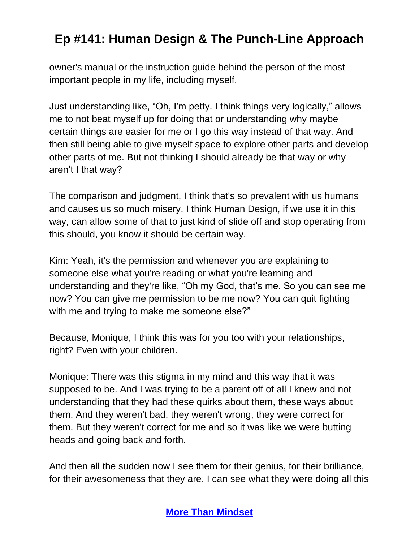owner's manual or the instruction guide behind the person of the most important people in my life, including myself.

Just understanding like, "Oh, I'm petty. I think things very logically," allows me to not beat myself up for doing that or understanding why maybe certain things are easier for me or I go this way instead of that way. And then still being able to give myself space to explore other parts and develop other parts of me. But not thinking I should already be that way or why aren't I that way?

The comparison and judgment, I think that's so prevalent with us humans and causes us so much misery. I think Human Design, if we use it in this way, can allow some of that to just kind of slide off and stop operating from this should, you know it should be certain way.

Kim: Yeah, it's the permission and whenever you are explaining to someone else what you're reading or what you're learning and understanding and they're like, "Oh my God, that's me. So you can see me now? You can give me permission to be me now? You can quit fighting with me and trying to make me someone else?"

Because, Monique, I think this was for you too with your relationships, right? Even with your children.

Monique: There was this stigma in my mind and this way that it was supposed to be. And I was trying to be a parent off of all I knew and not understanding that they had these quirks about them, these ways about them. And they weren't bad, they weren't wrong, they were correct for them. But they weren't correct for me and so it was like we were butting heads and going back and forth.

And then all the sudden now I see them for their genius, for their brilliance, for their awesomeness that they are. I can see what they were doing all this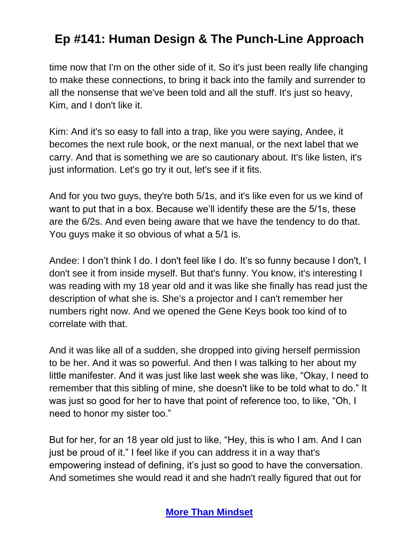time now that I'm on the other side of it. So it's just been really life changing to make these connections, to bring it back into the family and surrender to all the nonsense that we've been told and all the stuff. It's just so heavy, Kim, and I don't like it.

Kim: And it's so easy to fall into a trap, like you were saying, Andee, it becomes the next rule book, or the next manual, or the next label that we carry. And that is something we are so cautionary about. It's like listen, it's just information. Let's go try it out, let's see if it fits.

And for you two guys, they're both 5/1s, and it's like even for us we kind of want to put that in a box. Because we'll identify these are the 5/1s, these are the 6/2s. And even being aware that we have the tendency to do that. You guys make it so obvious of what a 5/1 is.

Andee: I don't think I do. I don't feel like I do. It's so funny because I don't, I don't see it from inside myself. But that's funny. You know, it's interesting I was reading with my 18 year old and it was like she finally has read just the description of what she is. She's a projector and I can't remember her numbers right now. And we opened the Gene Keys book too kind of to correlate with that.

And it was like all of a sudden, she dropped into giving herself permission to be her. And it was so powerful. And then I was talking to her about my little manifester. And it was just like last week she was like, "Okay, I need to remember that this sibling of mine, she doesn't like to be told what to do." It was just so good for her to have that point of reference too, to like, "Oh, I need to honor my sister too."

But for her, for an 18 year old just to like, "Hey, this is who I am. And I can just be proud of it." I feel like if you can address it in a way that's empowering instead of defining, it's just so good to have the conversation. And sometimes she would read it and she hadn't really figured that out for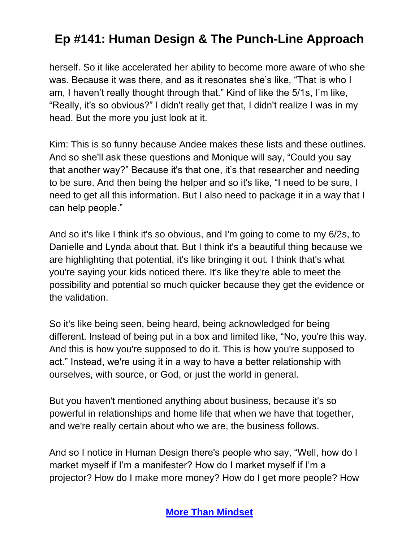herself. So it like accelerated her ability to become more aware of who she was. Because it was there, and as it resonates she's like, "That is who I am, I haven't really thought through that." Kind of like the 5/1s, I'm like, "Really, it's so obvious?" I didn't really get that, I didn't realize I was in my head. But the more you just look at it.

Kim: This is so funny because Andee makes these lists and these outlines. And so she'll ask these questions and Monique will say, "Could you say that another way?" Because it's that one, it's that researcher and needing to be sure. And then being the helper and so it's like, "I need to be sure, I need to get all this information. But I also need to package it in a way that I can help people."

And so it's like I think it's so obvious, and I'm going to come to my 6/2s, to Danielle and Lynda about that. But I think it's a beautiful thing because we are highlighting that potential, it's like bringing it out. I think that's what you're saying your kids noticed there. It's like they're able to meet the possibility and potential so much quicker because they get the evidence or the validation.

So it's like being seen, being heard, being acknowledged for being different. Instead of being put in a box and limited like, "No, you're this way. And this is how you're supposed to do it. This is how you're supposed to act." Instead, we're using it in a way to have a better relationship with ourselves, with source, or God, or just the world in general.

But you haven't mentioned anything about business, because it's so powerful in relationships and home life that when we have that together, and we're really certain about who we are, the business follows.

And so I notice in Human Design there's people who say, "Well, how do I market myself if I'm a manifester? How do I market myself if I'm a projector? How do I make more money? How do I get more people? How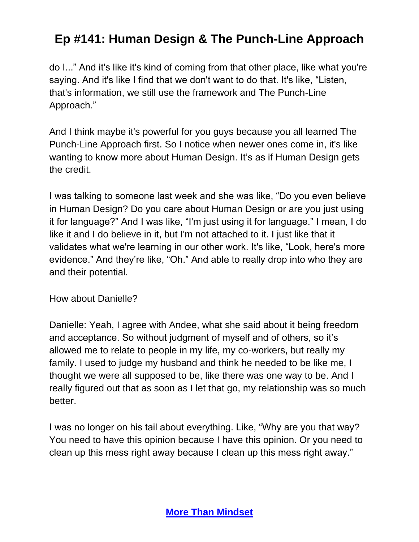do I..." And it's like it's kind of coming from that other place, like what you're saying. And it's like I find that we don't want to do that. It's like, "Listen, that's information, we still use the framework and The Punch-Line Approach."

And I think maybe it's powerful for you guys because you all learned The Punch-Line Approach first. So I notice when newer ones come in, it's like wanting to know more about Human Design. It's as if Human Design gets the credit.

I was talking to someone last week and she was like, "Do you even believe in Human Design? Do you care about Human Design or are you just using it for language?" And I was like, "I'm just using it for language." I mean, I do like it and I do believe in it, but I'm not attached to it. I just like that it validates what we're learning in our other work. It's like, "Look, here's more evidence." And they're like, "Oh." And able to really drop into who they are and their potential.

How about Danielle?

Danielle: Yeah, I agree with Andee, what she said about it being freedom and acceptance. So without judgment of myself and of others, so it's allowed me to relate to people in my life, my co-workers, but really my family. I used to judge my husband and think he needed to be like me, I thought we were all supposed to be, like there was one way to be. And I really figured out that as soon as I let that go, my relationship was so much better.

I was no longer on his tail about everything. Like, "Why are you that way? You need to have this opinion because I have this opinion. Or you need to clean up this mess right away because I clean up this mess right away."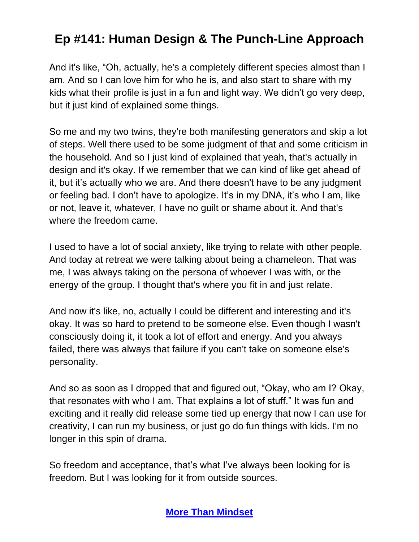And it's like, "Oh, actually, he's a completely different species almost than I am. And so I can love him for who he is, and also start to share with my kids what their profile is just in a fun and light way. We didn't go very deep, but it just kind of explained some things.

So me and my two twins, they're both manifesting generators and skip a lot of steps. Well there used to be some judgment of that and some criticism in the household. And so I just kind of explained that yeah, that's actually in design and it's okay. If we remember that we can kind of like get ahead of it, but it's actually who we are. And there doesn't have to be any judgment or feeling bad. I don't have to apologize. It's in my DNA, it's who I am, like or not, leave it, whatever, I have no guilt or shame about it. And that's where the freedom came.

I used to have a lot of social anxiety, like trying to relate with other people. And today at retreat we were talking about being a chameleon. That was me, I was always taking on the persona of whoever I was with, or the energy of the group. I thought that's where you fit in and just relate.

And now it's like, no, actually I could be different and interesting and it's okay. It was so hard to pretend to be someone else. Even though I wasn't consciously doing it, it took a lot of effort and energy. And you always failed, there was always that failure if you can't take on someone else's personality.

And so as soon as I dropped that and figured out, "Okay, who am I? Okay, that resonates with who I am. That explains a lot of stuff." It was fun and exciting and it really did release some tied up energy that now I can use for creativity, I can run my business, or just go do fun things with kids. I'm no longer in this spin of drama.

So freedom and acceptance, that's what I've always been looking for is freedom. But I was looking for it from outside sources.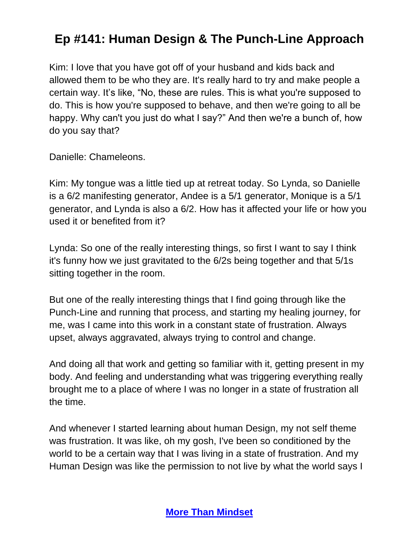Kim: I love that you have got off of your husband and kids back and allowed them to be who they are. It's really hard to try and make people a certain way. It's like, "No, these are rules. This is what you're supposed to do. This is how you're supposed to behave, and then we're going to all be happy. Why can't you just do what I say?" And then we're a bunch of, how do you say that?

Danielle: Chameleons.

Kim: My tongue was a little tied up at retreat today. So Lynda, so Danielle is a 6/2 manifesting generator, Andee is a 5/1 generator, Monique is a 5/1 generator, and Lynda is also a 6/2. How has it affected your life or how you used it or benefited from it?

Lynda: So one of the really interesting things, so first I want to say I think it's funny how we just gravitated to the 6/2s being together and that 5/1s sitting together in the room.

But one of the really interesting things that I find going through like the Punch-Line and running that process, and starting my healing journey, for me, was I came into this work in a constant state of frustration. Always upset, always aggravated, always trying to control and change.

And doing all that work and getting so familiar with it, getting present in my body. And feeling and understanding what was triggering everything really brought me to a place of where I was no longer in a state of frustration all the time.

And whenever I started learning about human Design, my not self theme was frustration. It was like, oh my gosh, I've been so conditioned by the world to be a certain way that I was living in a state of frustration. And my Human Design was like the permission to not live by what the world says I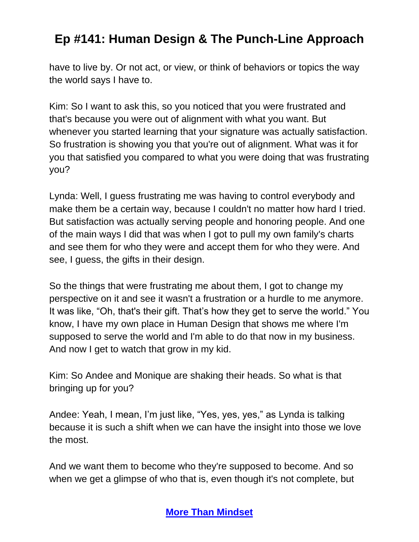have to live by. Or not act, or view, or think of behaviors or topics the way the world says I have to.

Kim: So I want to ask this, so you noticed that you were frustrated and that's because you were out of alignment with what you want. But whenever you started learning that your signature was actually satisfaction. So frustration is showing you that you're out of alignment. What was it for you that satisfied you compared to what you were doing that was frustrating you?

Lynda: Well, I guess frustrating me was having to control everybody and make them be a certain way, because I couldn't no matter how hard I tried. But satisfaction was actually serving people and honoring people. And one of the main ways I did that was when I got to pull my own family's charts and see them for who they were and accept them for who they were. And see, I guess, the gifts in their design.

So the things that were frustrating me about them, I got to change my perspective on it and see it wasn't a frustration or a hurdle to me anymore. It was like, "Oh, that's their gift. That's how they get to serve the world." You know, I have my own place in Human Design that shows me where I'm supposed to serve the world and I'm able to do that now in my business. And now I get to watch that grow in my kid.

Kim: So Andee and Monique are shaking their heads. So what is that bringing up for you?

Andee: Yeah, I mean, I'm just like, "Yes, yes, yes," as Lynda is talking because it is such a shift when we can have the insight into those we love the most.

And we want them to become who they're supposed to become. And so when we get a glimpse of who that is, even though it's not complete, but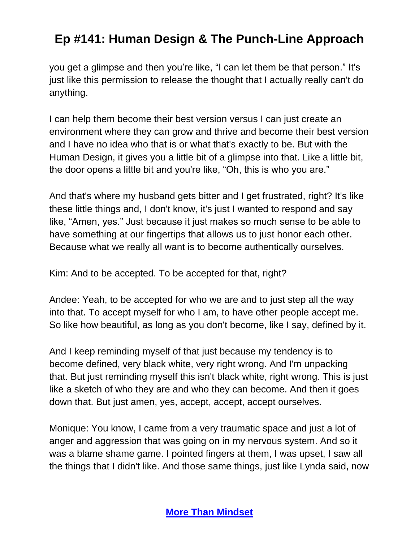you get a glimpse and then you're like, "I can let them be that person." It's just like this permission to release the thought that I actually really can't do anything.

I can help them become their best version versus I can just create an environment where they can grow and thrive and become their best version and I have no idea who that is or what that's exactly to be. But with the Human Design, it gives you a little bit of a glimpse into that. Like a little bit, the door opens a little bit and you're like, "Oh, this is who you are."

And that's where my husband gets bitter and I get frustrated, right? It's like these little things and, I don't know, it's just I wanted to respond and say like, "Amen, yes." Just because it just makes so much sense to be able to have something at our fingertips that allows us to just honor each other. Because what we really all want is to become authentically ourselves.

Kim: And to be accepted. To be accepted for that, right?

Andee: Yeah, to be accepted for who we are and to just step all the way into that. To accept myself for who I am, to have other people accept me. So like how beautiful, as long as you don't become, like I say, defined by it.

And I keep reminding myself of that just because my tendency is to become defined, very black white, very right wrong. And I'm unpacking that. But just reminding myself this isn't black white, right wrong. This is just like a sketch of who they are and who they can become. And then it goes down that. But just amen, yes, accept, accept, accept ourselves.

Monique: You know, I came from a very traumatic space and just a lot of anger and aggression that was going on in my nervous system. And so it was a blame shame game. I pointed fingers at them, I was upset, I saw all the things that I didn't like. And those same things, just like Lynda said, now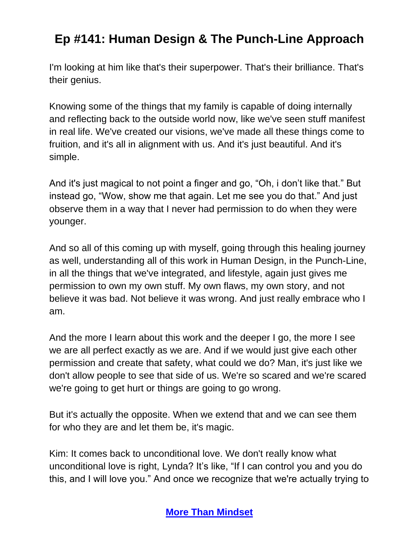I'm looking at him like that's their superpower. That's their brilliance. That's their genius.

Knowing some of the things that my family is capable of doing internally and reflecting back to the outside world now, like we've seen stuff manifest in real life. We've created our visions, we've made all these things come to fruition, and it's all in alignment with us. And it's just beautiful. And it's simple.

And it's just magical to not point a finger and go, "Oh, i don't like that." But instead go, "Wow, show me that again. Let me see you do that." And just observe them in a way that I never had permission to do when they were younger.

And so all of this coming up with myself, going through this healing journey as well, understanding all of this work in Human Design, in the Punch-Line, in all the things that we've integrated, and lifestyle, again just gives me permission to own my own stuff. My own flaws, my own story, and not believe it was bad. Not believe it was wrong. And just really embrace who I am.

And the more I learn about this work and the deeper I go, the more I see we are all perfect exactly as we are. And if we would just give each other permission and create that safety, what could we do? Man, it's just like we don't allow people to see that side of us. We're so scared and we're scared we're going to get hurt or things are going to go wrong.

But it's actually the opposite. When we extend that and we can see them for who they are and let them be, it's magic.

Kim: It comes back to unconditional love. We don't really know what unconditional love is right, Lynda? It's like, "If I can control you and you do this, and I will love you." And once we recognize that we're actually trying to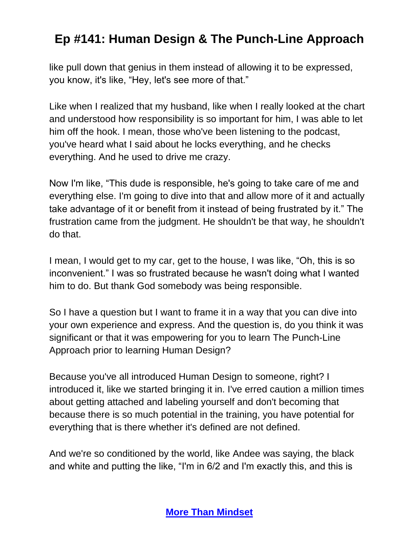like pull down that genius in them instead of allowing it to be expressed, you know, it's like, "Hey, let's see more of that."

Like when I realized that my husband, like when I really looked at the chart and understood how responsibility is so important for him, I was able to let him off the hook. I mean, those who've been listening to the podcast, you've heard what I said about he locks everything, and he checks everything. And he used to drive me crazy.

Now I'm like, "This dude is responsible, he's going to take care of me and everything else. I'm going to dive into that and allow more of it and actually take advantage of it or benefit from it instead of being frustrated by it." The frustration came from the judgment. He shouldn't be that way, he shouldn't do that.

I mean, I would get to my car, get to the house, I was like, "Oh, this is so inconvenient." I was so frustrated because he wasn't doing what I wanted him to do. But thank God somebody was being responsible.

So I have a question but I want to frame it in a way that you can dive into your own experience and express. And the question is, do you think it was significant or that it was empowering for you to learn The Punch-Line Approach prior to learning Human Design?

Because you've all introduced Human Design to someone, right? I introduced it, like we started bringing it in. I've erred caution a million times about getting attached and labeling yourself and don't becoming that because there is so much potential in the training, you have potential for everything that is there whether it's defined are not defined.

And we're so conditioned by the world, like Andee was saying, the black and white and putting the like, "I'm in 6/2 and I'm exactly this, and this is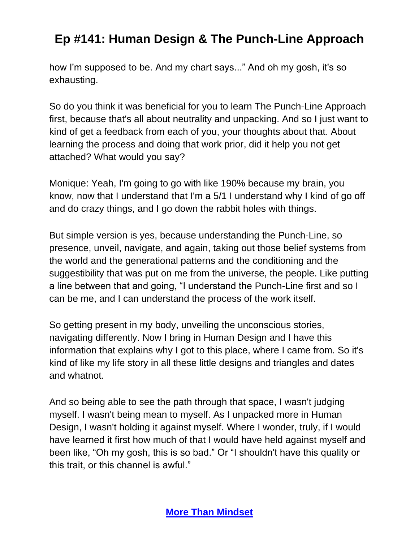how I'm supposed to be. And my chart says..." And oh my gosh, it's so exhausting.

So do you think it was beneficial for you to learn The Punch-Line Approach first, because that's all about neutrality and unpacking. And so I just want to kind of get a feedback from each of you, your thoughts about that. About learning the process and doing that work prior, did it help you not get attached? What would you say?

Monique: Yeah, I'm going to go with like 190% because my brain, you know, now that I understand that I'm a 5/1 I understand why I kind of go off and do crazy things, and I go down the rabbit holes with things.

But simple version is yes, because understanding the Punch-Line, so presence, unveil, navigate, and again, taking out those belief systems from the world and the generational patterns and the conditioning and the suggestibility that was put on me from the universe, the people. Like putting a line between that and going, "I understand the Punch-Line first and so I can be me, and I can understand the process of the work itself.

So getting present in my body, unveiling the unconscious stories, navigating differently. Now I bring in Human Design and I have this information that explains why I got to this place, where I came from. So it's kind of like my life story in all these little designs and triangles and dates and whatnot.

And so being able to see the path through that space, I wasn't judging myself. I wasn't being mean to myself. As I unpacked more in Human Design, I wasn't holding it against myself. Where I wonder, truly, if I would have learned it first how much of that I would have held against myself and been like, "Oh my gosh, this is so bad." Or "I shouldn't have this quality or this trait, or this channel is awful."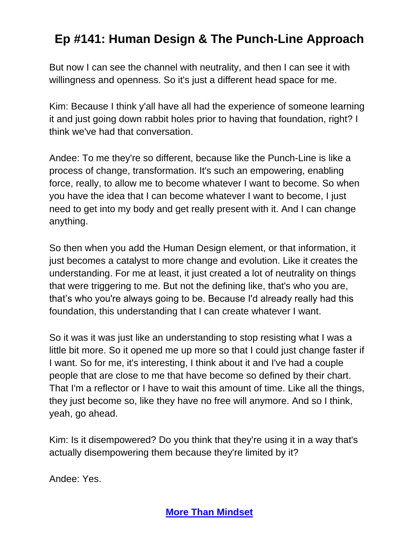But now I can see the channel with neutrality, and then I can see it with willingness and openness. So it's just a different head space for me.

Kim: Because I think y'all have all had the experience of someone learning it and just going down rabbit holes prior to having that foundation, right? I think we've had that conversation.

Andee: To me they're so different, because like the Punch-Line is like a process of change, transformation. It's such an empowering, enabling force, really, to allow me to become whatever I want to become. So when you have the idea that I can become whatever I want to become, I just need to get into my body and get really present with it. And I can change anything.

So then when you add the Human Design element, or that information, it just becomes a catalyst to more change and evolution. Like it creates the understanding. For me at least, it just created a lot of neutrality on things that were triggering to me. But not the defining like, that's who you are, that's who you're always going to be. Because I'd already really had this foundation, this understanding that I can create whatever I want.

So it was it was just like an understanding to stop resisting what I was a little bit more. So it opened me up more so that I could just change faster if I want. So for me, it's interesting, I think about it and I've had a couple people that are close to me that have become so defined by their chart. That I'm a reflector or I have to wait this amount of time. Like all the things, they just become so, like they have no free will anymore. And so I think, yeah, go ahead.

Kim: Is it disempowered? Do you think that they're using it in a way that's actually disempowering them because they're limited by it?

Andee: Yes.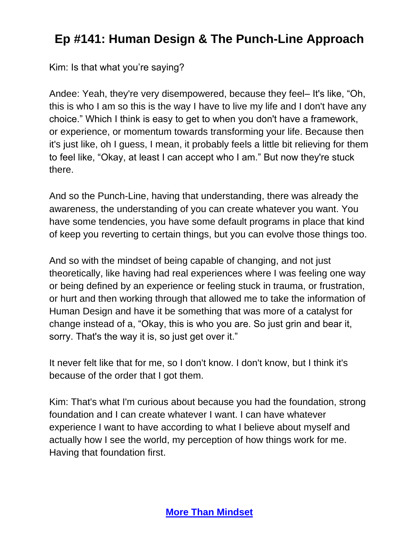Kim: Is that what you're saying?

Andee: Yeah, they're very disempowered, because they feel– It's like, "Oh, this is who I am so this is the way I have to live my life and I don't have any choice." Which I think is easy to get to when you don't have a framework, or experience, or momentum towards transforming your life. Because then it's just like, oh I guess, I mean, it probably feels a little bit relieving for them to feel like, "Okay, at least I can accept who I am." But now they're stuck there.

And so the Punch-Line, having that understanding, there was already the awareness, the understanding of you can create whatever you want. You have some tendencies, you have some default programs in place that kind of keep you reverting to certain things, but you can evolve those things too.

And so with the mindset of being capable of changing, and not just theoretically, like having had real experiences where I was feeling one way or being defined by an experience or feeling stuck in trauma, or frustration, or hurt and then working through that allowed me to take the information of Human Design and have it be something that was more of a catalyst for change instead of a, "Okay, this is who you are. So just grin and bear it, sorry. That's the way it is, so just get over it."

It never felt like that for me, so I don't know. I don't know, but I think it's because of the order that I got them.

Kim: That's what I'm curious about because you had the foundation, strong foundation and I can create whatever I want. I can have whatever experience I want to have according to what I believe about myself and actually how I see the world, my perception of how things work for me. Having that foundation first.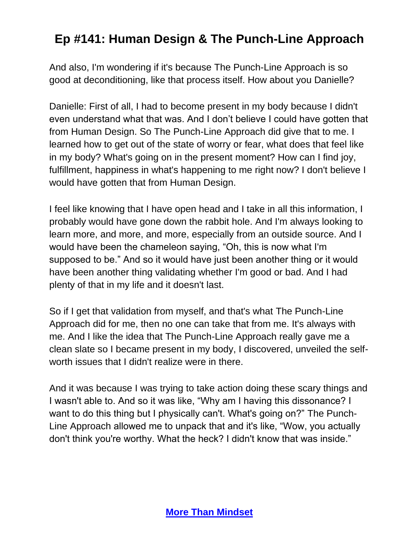And also, I'm wondering if it's because The Punch-Line Approach is so good at deconditioning, like that process itself. How about you Danielle?

Danielle: First of all, I had to become present in my body because I didn't even understand what that was. And I don't believe I could have gotten that from Human Design. So The Punch-Line Approach did give that to me. I learned how to get out of the state of worry or fear, what does that feel like in my body? What's going on in the present moment? How can I find joy, fulfillment, happiness in what's happening to me right now? I don't believe I would have gotten that from Human Design.

I feel like knowing that I have open head and I take in all this information, I probably would have gone down the rabbit hole. And I'm always looking to learn more, and more, and more, especially from an outside source. And I would have been the chameleon saying, "Oh, this is now what I'm supposed to be." And so it would have just been another thing or it would have been another thing validating whether I'm good or bad. And I had plenty of that in my life and it doesn't last.

So if I get that validation from myself, and that's what The Punch-Line Approach did for me, then no one can take that from me. It's always with me. And I like the idea that The Punch-Line Approach really gave me a clean slate so I became present in my body, I discovered, unveiled the selfworth issues that I didn't realize were in there.

And it was because I was trying to take action doing these scary things and I wasn't able to. And so it was like, "Why am I having this dissonance? I want to do this thing but I physically can't. What's going on?" The Punch-Line Approach allowed me to unpack that and it's like, "Wow, you actually don't think you're worthy. What the heck? I didn't know that was inside."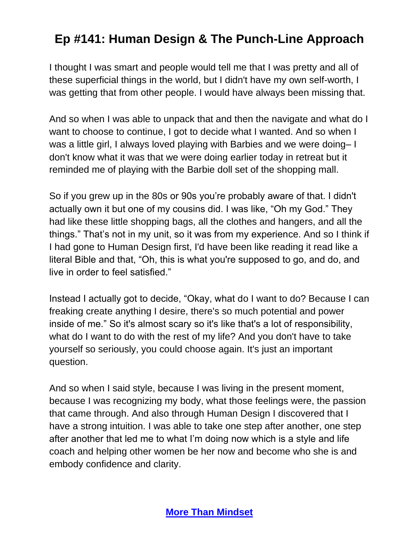I thought I was smart and people would tell me that I was pretty and all of these superficial things in the world, but I didn't have my own self-worth, I was getting that from other people. I would have always been missing that.

And so when I was able to unpack that and then the navigate and what do I want to choose to continue, I got to decide what I wanted. And so when I was a little girl, I always loved playing with Barbies and we were doing– I don't know what it was that we were doing earlier today in retreat but it reminded me of playing with the Barbie doll set of the shopping mall.

So if you grew up in the 80s or 90s you're probably aware of that. I didn't actually own it but one of my cousins did. I was like, "Oh my God." They had like these little shopping bags, all the clothes and hangers, and all the things." That's not in my unit, so it was from my experience. And so I think if I had gone to Human Design first, I'd have been like reading it read like a literal Bible and that, "Oh, this is what you're supposed to go, and do, and live in order to feel satisfied."

Instead I actually got to decide, "Okay, what do I want to do? Because I can freaking create anything I desire, there's so much potential and power inside of me." So it's almost scary so it's like that's a lot of responsibility, what do I want to do with the rest of my life? And you don't have to take yourself so seriously, you could choose again. It's just an important question.

And so when I said style, because I was living in the present moment, because I was recognizing my body, what those feelings were, the passion that came through. And also through Human Design I discovered that I have a strong intuition. I was able to take one step after another, one step after another that led me to what I'm doing now which is a style and life coach and helping other women be her now and become who she is and embody confidence and clarity.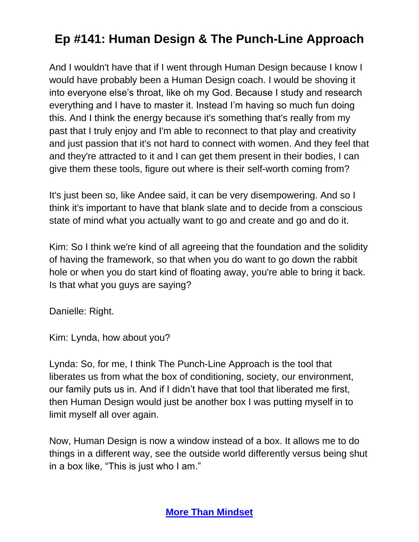And I wouldn't have that if I went through Human Design because I know I would have probably been a Human Design coach. I would be shoving it into everyone else's throat, like oh my God. Because I study and research everything and I have to master it. Instead I'm having so much fun doing this. And I think the energy because it's something that's really from my past that I truly enjoy and I'm able to reconnect to that play and creativity and just passion that it's not hard to connect with women. And they feel that and they're attracted to it and I can get them present in their bodies, I can give them these tools, figure out where is their self-worth coming from?

It's just been so, like Andee said, it can be very disempowering. And so I think it's important to have that blank slate and to decide from a conscious state of mind what you actually want to go and create and go and do it.

Kim: So I think we're kind of all agreeing that the foundation and the solidity of having the framework, so that when you do want to go down the rabbit hole or when you do start kind of floating away, you're able to bring it back. Is that what you guys are saying?

Danielle: Right.

Kim: Lynda, how about you?

Lynda: So, for me, I think The Punch-Line Approach is the tool that liberates us from what the box of conditioning, society, our environment, our family puts us in. And if I didn't have that tool that liberated me first, then Human Design would just be another box I was putting myself in to limit myself all over again.

Now, Human Design is now a window instead of a box. It allows me to do things in a different way, see the outside world differently versus being shut in a box like, "This is just who I am."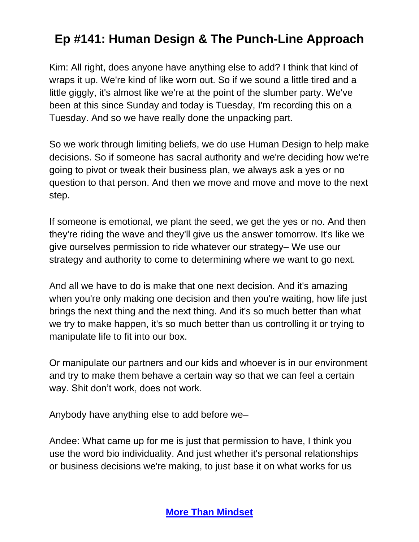Kim: All right, does anyone have anything else to add? I think that kind of wraps it up. We're kind of like worn out. So if we sound a little tired and a little giggly, it's almost like we're at the point of the slumber party. We've been at this since Sunday and today is Tuesday, I'm recording this on a Tuesday. And so we have really done the unpacking part.

So we work through limiting beliefs, we do use Human Design to help make decisions. So if someone has sacral authority and we're deciding how we're going to pivot or tweak their business plan, we always ask a yes or no question to that person. And then we move and move and move to the next step.

If someone is emotional, we plant the seed, we get the yes or no. And then they're riding the wave and they'll give us the answer tomorrow. It's like we give ourselves permission to ride whatever our strategy– We use our strategy and authority to come to determining where we want to go next.

And all we have to do is make that one next decision. And it's amazing when you're only making one decision and then you're waiting, how life just brings the next thing and the next thing. And it's so much better than what we try to make happen, it's so much better than us controlling it or trying to manipulate life to fit into our box.

Or manipulate our partners and our kids and whoever is in our environment and try to make them behave a certain way so that we can feel a certain way. Shit don't work, does not work.

Anybody have anything else to add before we–

Andee: What came up for me is just that permission to have, I think you use the word bio individuality. And just whether it's personal relationships or business decisions we're making, to just base it on what works for us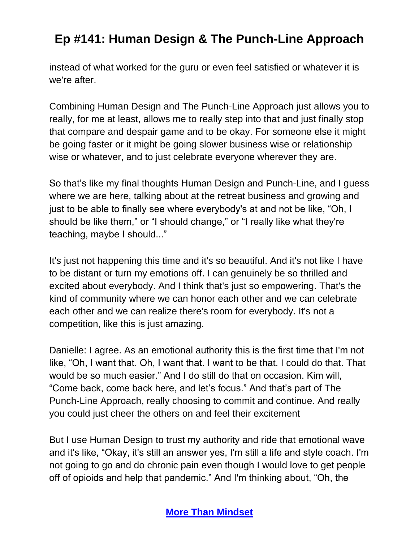instead of what worked for the guru or even feel satisfied or whatever it is we're after.

Combining Human Design and The Punch-Line Approach just allows you to really, for me at least, allows me to really step into that and just finally stop that compare and despair game and to be okay. For someone else it might be going faster or it might be going slower business wise or relationship wise or whatever, and to just celebrate everyone wherever they are.

So that's like my final thoughts Human Design and Punch-Line, and I guess where we are here, talking about at the retreat business and growing and just to be able to finally see where everybody's at and not be like, "Oh, I should be like them," or "I should change," or "I really like what they're teaching, maybe I should..."

It's just not happening this time and it's so beautiful. And it's not like I have to be distant or turn my emotions off. I can genuinely be so thrilled and excited about everybody. And I think that's just so empowering. That's the kind of community where we can honor each other and we can celebrate each other and we can realize there's room for everybody. It's not a competition, like this is just amazing.

Danielle: I agree. As an emotional authority this is the first time that I'm not like, "Oh, I want that. Oh, I want that. I want to be that. I could do that. That would be so much easier." And I do still do that on occasion. Kim will, "Come back, come back here, and let's focus." And that's part of The Punch-Line Approach, really choosing to commit and continue. And really you could just cheer the others on and feel their excitement

But I use Human Design to trust my authority and ride that emotional wave and it's like, "Okay, it's still an answer yes, I'm still a life and style coach. I'm not going to go and do chronic pain even though I would love to get people off of opioids and help that pandemic." And I'm thinking about, "Oh, the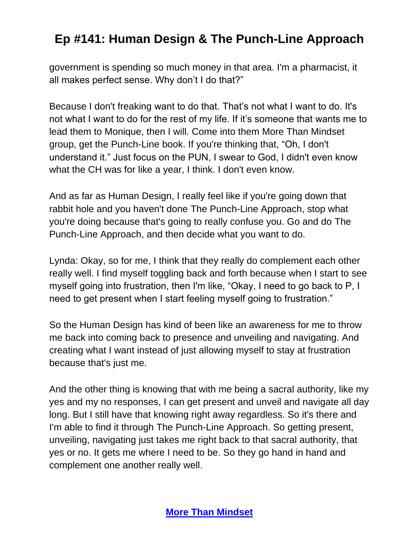government is spending so much money in that area. I'm a pharmacist, it all makes perfect sense. Why don't I do that?"

Because I don't freaking want to do that. That's not what I want to do. It's not what I want to do for the rest of my life. If it's someone that wants me to lead them to Monique, then I will. Come into them More Than Mindset group, get the Punch-Line book. If you're thinking that, "Oh, I don't understand it." Just focus on the PUN, I swear to God, I didn't even know what the CH was for like a year, I think. I don't even know.

And as far as Human Design, I really feel like if you're going down that rabbit hole and you haven't done The Punch-Line Approach, stop what you're doing because that's going to really confuse you. Go and do The Punch-Line Approach, and then decide what you want to do.

Lynda: Okay, so for me, I think that they really do complement each other really well. I find myself toggling back and forth because when I start to see myself going into frustration, then I'm like, "Okay, I need to go back to P, I need to get present when I start feeling myself going to frustration."

So the Human Design has kind of been like an awareness for me to throw me back into coming back to presence and unveiling and navigating. And creating what I want instead of just allowing myself to stay at frustration because that's just me.

And the other thing is knowing that with me being a sacral authority, like my yes and my no responses, I can get present and unveil and navigate all day long. But I still have that knowing right away regardless. So it's there and I'm able to find it through The Punch-Line Approach. So getting present, unveiling, navigating just takes me right back to that sacral authority, that yes or no. It gets me where I need to be. So they go hand in hand and complement one another really well.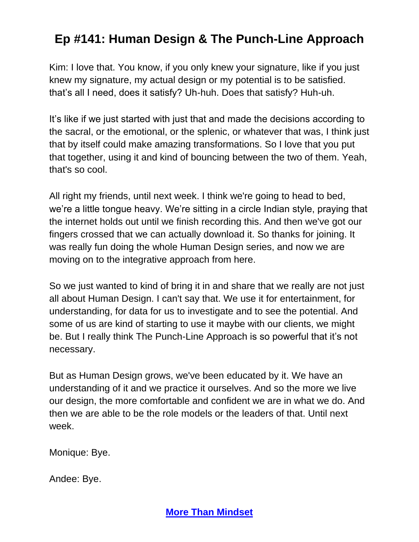Kim: I love that. You know, if you only knew your signature, like if you just knew my signature, my actual design or my potential is to be satisfied. that's all I need, does it satisfy? Uh-huh. Does that satisfy? Huh-uh.

It's like if we just started with just that and made the decisions according to the sacral, or the emotional, or the splenic, or whatever that was, I think just that by itself could make amazing transformations. So I love that you put that together, using it and kind of bouncing between the two of them. Yeah, that's so cool.

All right my friends, until next week. I think we're going to head to bed, we're a little tongue heavy. We're sitting in a circle Indian style, praying that the internet holds out until we finish recording this. And then we've got our fingers crossed that we can actually download it. So thanks for joining. It was really fun doing the whole Human Design series, and now we are moving on to the integrative approach from here.

So we just wanted to kind of bring it in and share that we really are not just all about Human Design. I can't say that. We use it for entertainment, for understanding, for data for us to investigate and to see the potential. And some of us are kind of starting to use it maybe with our clients, we might be. But I really think The Punch-Line Approach is so powerful that it's not necessary.

But as Human Design grows, we've been educated by it. We have an understanding of it and we practice it ourselves. And so the more we live our design, the more comfortable and confident we are in what we do. And then we are able to be the role models or the leaders of that. Until next week.

Monique: Bye.

Andee: Bye.